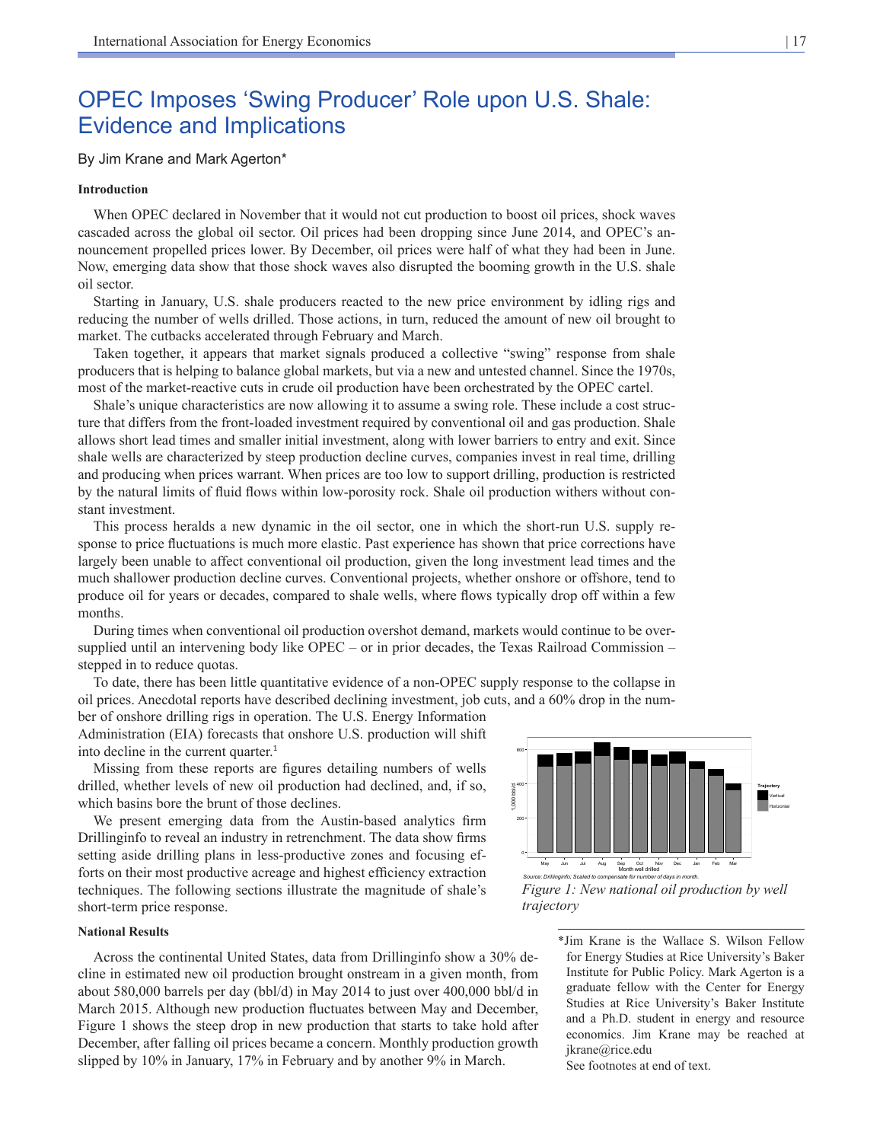# OPEC Imposes 'Swing Producer' Role upon U.S. Shale: Evidence and Implications

## By Jim Krane and Mark Agerton\*

#### **Introduction**

When OPEC declared in November that it would not cut production to boost oil prices, shock waves cascaded across the global oil sector. Oil prices had been dropping since June 2014, and OPEC's announcement propelled prices lower. By December, oil prices were half of what they had been in June. Now, emerging data show that those shock waves also disrupted the booming growth in the U.S. shale oil sector.

Starting in January, U.S. shale producers reacted to the new price environment by idling rigs and reducing the number of wells drilled. Those actions, in turn, reduced the amount of new oil brought to market. The cutbacks accelerated through February and March.

Taken together, it appears that market signals produced a collective "swing" response from shale producers that is helping to balance global markets, but via a new and untested channel. Since the 1970s, most of the market-reactive cuts in crude oil production have been orchestrated by the OPEC cartel.

Shale's unique characteristics are now allowing it to assume a swing role. These include a cost structure that differs from the front-loaded investment required by conventional oil and gas production. Shale allows short lead times and smaller initial investment, along with lower barriers to entry and exit. Since shale wells are characterized by steep production decline curves, companies invest in real time, drilling and producing when prices warrant. When prices are too low to support drilling, production is restricted by the natural limits of fluid flows within low-porosity rock. Shale oil production withers without constant investment.

This process heralds a new dynamic in the oil sector, one in which the short-run U.S. supply response to price fluctuations is much more elastic. Past experience has shown that price corrections have largely been unable to affect conventional oil production, given the long investment lead times and the much shallower production decline curves. Conventional projects, whether onshore or offshore, tend to produce oil for years or decades, compared to shale wells, where flows typically drop off within a few months.

During times when conventional oil production overshot demand, markets would continue to be oversupplied until an intervening body like OPEC – or in prior decades, the Texas Railroad Commission – stepped in to reduce quotas.

To date, there has been little quantitative evidence of a non-OPEC supply response to the collapse in oil prices. Anecdotal reports have described declining investment, job cuts, and a 60% drop in the num-

ber of onshore drilling rigs in operation. The U.S. Energy Information Administration (EIA) forecasts that onshore U.S. production will shift into decline in the current quarter.<sup>1</sup>

Missing from these reports are figures detailing numbers of wells drilled, whether levels of new oil production had declined, and, if so, which basins bore the brunt of those declines.

We present emerging data from the Austin-based analytics firm Drillinginfo to reveal an industry in retrenchment. The data show firms setting aside drilling plans in less-productive zones and focusing efforts on their most productive acreage and highest efficiency extraction techniques. The following sections illustrate the magnitude of shale's short-term price response.

#### **National Results**

Across the continental United States, data from Drillinginfo show a 30% decline in estimated new oil production brought onstream in a given month, from about 580,000 barrels per day (bbl/d) in May 2014 to just over 400,000 bbl/d in March 2015. Although new production fluctuates between May and December, Figure 1 shows the steep drop in new production that starts to take hold after December, after falling oil prices became a concern. Monthly production growth slipped by 10% in January, 17% in February and by another 9% in March.



*Figure 1: New national oil production by well trajectory*

\*Jim Krane is the Wallace S. Wilson Fellow for Energy Studies at Rice University's Baker Institute for Public Policy. Mark Agerton is a graduate fellow with the Center for Energy Studies at Rice University's Baker Institute and a Ph.D. student in energy and resource economics. Jim Krane may be reached at jkrane@rice.edu

See footnotes at end of text.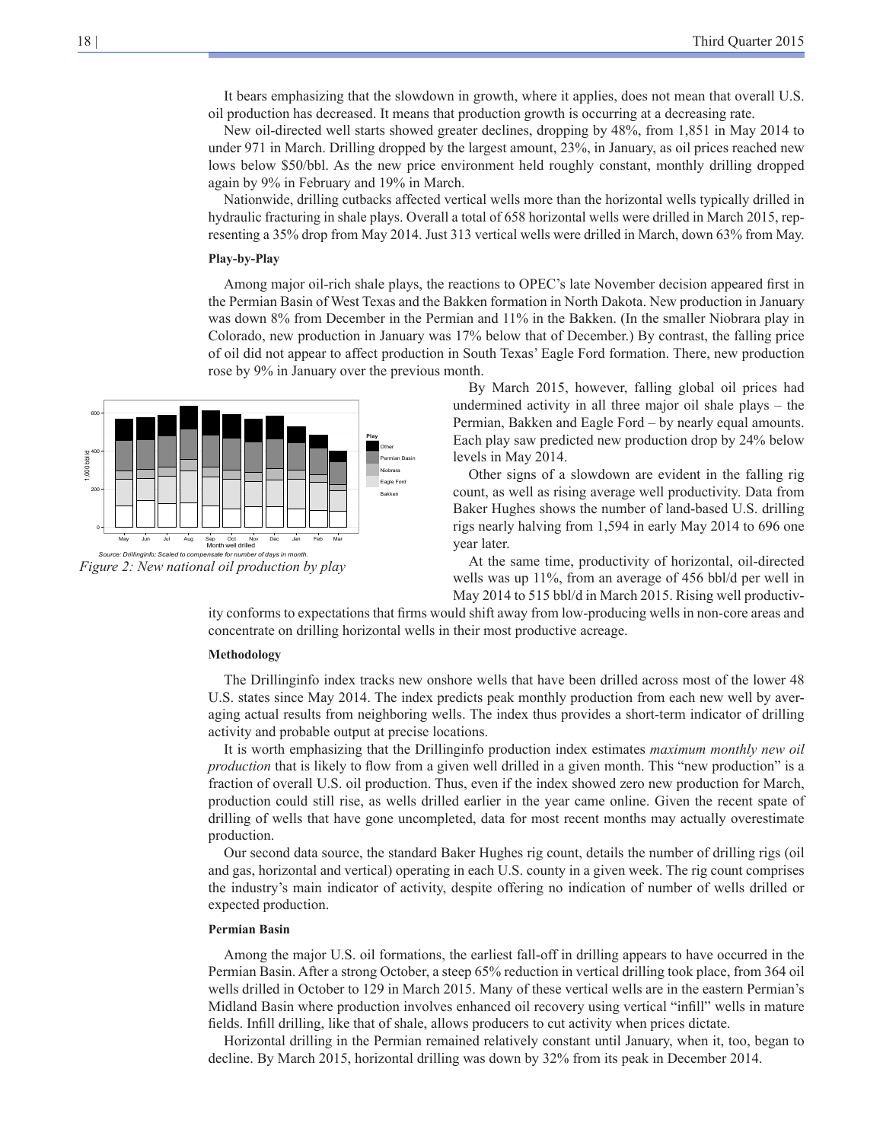It bears emphasizing that the slowdown in growth, where it applies, does not mean that overall U.S. oil production has decreased. It means that production growth is occurring at a decreasing rate.

New oil-directed well starts showed greater declines, dropping by 48%, from 1,851 in May 2014 to under 971 in March. Drilling dropped by the largest amount, 23%, in January, as oil prices reached new lows below \$50/bbl. As the new price environment held roughly constant, monthly drilling dropped again by 9% in February and 19% in March.

Nationwide, drilling cutbacks affected vertical wells more than the horizontal wells typically drilled in hydraulic fracturing in shale plays. Overall a total of 658 horizontal wells were drilled in March 2015, representing a 35% drop from May 2014. Just 313 vertical wells were drilled in March, down 63% from May.

#### **Play-by-Play**

Among major oil-rich shale plays, the reactions to OPEC's late November decision appeared first in the Permian Basin of West Texas and the Bakken formation in North Dakota. New production in January was down 8% from December in the Permian and 11% in the Bakken. (In the smaller Niobrara play in Colorado, new production in January was 17% below that of December.) By contrast, the falling price of oil did not appear to affect production in South Texas' Eagle Ford formation. There, new production rose by 9% in January over the previous month.

*Figure 2: New national oil production by play* 0 200 400 600 May Jun Jul Aug Sep Oct Nov Dec Jan Feb Mar Month well drilled **Play** Other Permian Basin Niobrara Eagle Ford Bakken *Source: Drillinginfo; Scaled to compensate for number of days in month.*

By March 2015, however, falling global oil prices had undermined activity in all three major oil shale plays – the Permian, Bakken and Eagle Ford – by nearly equal amounts. Each play saw predicted new production drop by 24% below levels in May 2014.

Other signs of a slowdown are evident in the falling rig count, as well as rising average well productivity. Data from Baker Hughes shows the number of land-based U.S. drilling rigs nearly halving from 1,594 in early May 2014 to 696 one year later.

At the same time, productivity of horizontal, oil-directed wells was up 11%, from an average of 456 bbl/d per well in May 2014 to 515 bbl/d in March 2015. Rising well productiv-

ity conforms to expectations that firms would shift away from low-producing wells in non-core areas and concentrate on drilling horizontal wells in their most productive acreage.

#### **Methodology**

The Drillinginfo index tracks new onshore wells that have been drilled across most of the lower 48 U.S. states since May 2014. The index predicts peak monthly production from each new well by averaging actual results from neighboring wells. The index thus provides a short-term indicator of drilling activity and probable output at precise locations.

It is worth emphasizing that the Drillinginfo production index estimates *maximum monthly new oil production* that is likely to flow from a given well drilled in a given month. This "new production" is a fraction of overall U.S. oil production. Thus, even if the index showed zero new production for March, production could still rise, as wells drilled earlier in the year came online. Given the recent spate of drilling of wells that have gone uncompleted, data for most recent months may actually overestimate production.

Our second data source, the standard Baker Hughes rig count, details the number of drilling rigs (oil and gas, horizontal and vertical) operating in each U.S. county in a given week. The rig count comprises the industry's main indicator of activity, despite offering no indication of number of wells drilled or expected production.

### **Permian Basin**

Among the major U.S. oil formations, the earliest fall-off in drilling appears to have occurred in the Permian Basin. After a strong October, a steep 65% reduction in vertical drilling took place, from 364 oil wells drilled in October to 129 in March 2015. Many of these vertical wells are in the eastern Permian's Midland Basin where production involves enhanced oil recovery using vertical "infill" wells in mature fields. Infill drilling, like that of shale, allows producers to cut activity when prices dictate.

Horizontal drilling in the Permian remained relatively constant until January, when it, too, began to decline. By March 2015, horizontal drilling was down by 32% from its peak in December 2014.

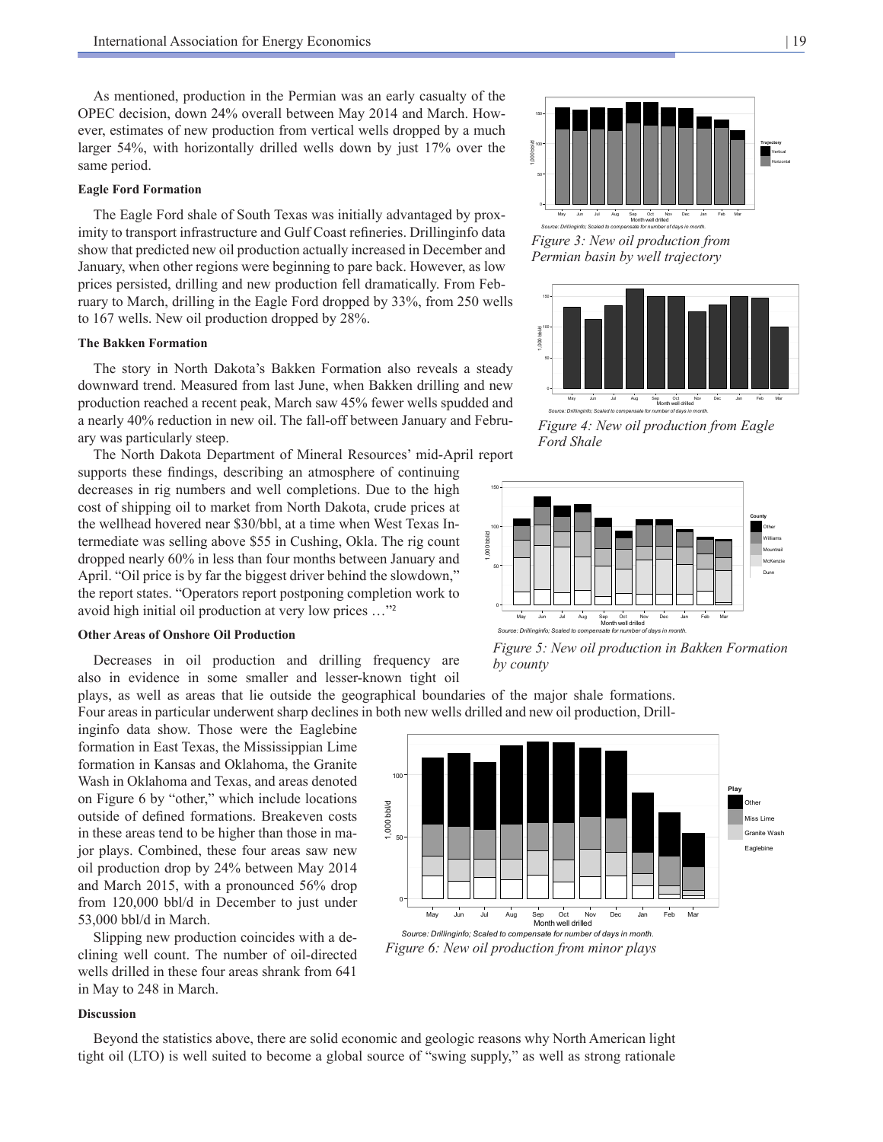As mentioned, production in the Permian was an early casualty of the OPEC decision, down 24% overall between May 2014 and March. However, estimates of new production from vertical wells dropped by a much larger 54%, with horizontally drilled wells down by just 17% over the same period.

#### **Eagle Ford Formation**

The Eagle Ford shale of South Texas was initially advantaged by proximity to transport infrastructure and Gulf Coast refineries. Drillinginfo data show that predicted new oil production actually increased in December and January, when other regions were beginning to pare back. However, as low prices persisted, drilling and new production fell dramatically. From February to March, drilling in the Eagle Ford dropped by 33%, from 250 wells to 167 wells. New oil production dropped by 28%.

## **The Bakken Formation**

The story in North Dakota's Bakken Formation also reveals a steady downward trend. Measured from last June, when Bakken drilling and new production reached a recent peak, March saw 45% fewer wells spudded and a nearly 40% reduction in new oil. The fall-off between January and February was particularly steep.

The North Dakota Department of Mineral Resources' mid-April report supports these findings, describing an atmosphere of continuing decreases in rig numbers and well completions. Due to the high cost of shipping oil to market from North Dakota, crude prices at the wellhead hovered near \$30/bbl, at a time when West Texas Intermediate was selling above \$55 in Cushing, Okla. The rig count  $\frac{8}{2}$ dropped nearly 60% in less than four months between January and April. "Oil price is by far the biggest driver behind the slowdown," the report states. "Operators report postponing completion work to avoid high initial oil production at very low prices …"<sup>2</sup>

## **Other Areas of Onshore Oil Production**

Decreases in oil production and drilling frequency are also in evidence in some smaller and lesser-known tight oil

plays, as well as areas that lie outside the geographical boundaries of the major shale formations. Four areas in particular underwent sharp declines in both new wells drilled and new oil production, Drill-

inginfo data show. Those were the Eaglebine formation in East Texas, the Mississippian Lime formation in Kansas and Oklahoma, the Granite Wash in Oklahoma and Texas, and areas denoted on Figure 6 by "other," which include locations outside of defined formations. Breakeven costs in these areas tend to be higher than those in major plays. Combined, these four areas saw new oil production drop by 24% between May 2014 and March 2015, with a pronounced 56% drop from 120,000 bbl/d in December to just under 53,000 bbl/d in March.

Slipping new production coincides with a declining well count. The number of oil-directed wells drilled in these four areas shrank from 641 in May to 248 in March.

## **Discussion**

Beyond the statistics above, there are solid economic and geologic reasons why North American light tight oil (LTO) is well suited to become a global source of "swing supply," as well as strong rationale

*Source: Drillinginfo; Scaled to compensate for number of days in month. Figure 3: New oil production from Permian basin by well trajectory*



*Source: Drillinginfo; Scaled to compensate for number of days in month.*

*Figure 4: New oil production from Eagle Ford Shale*



*Figure 5: New oil production in Bakken Formation by county*